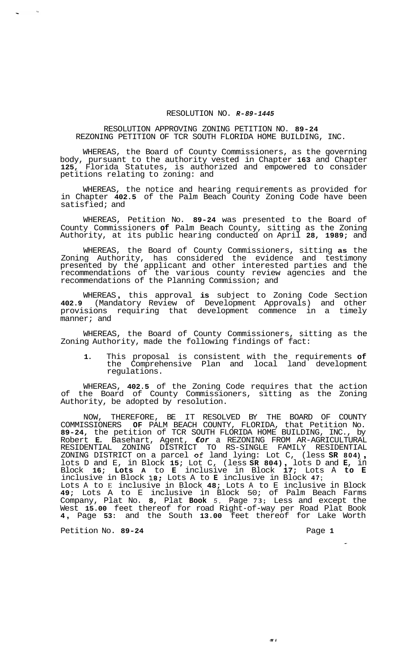## RESOLUTION NO. *R-89-1445*

## RESOLUTION APPROVING ZONING PETITION NO. **89-24**  REZONING PETITION OF TCR SOUTH FLORIDA HOME BUILDING, INC.

WHEREAS, the Board of County Commissioners, as the governing body, pursuant to the authority vested in Chapter **163** and Chapter **125,** Florida Statutes, is authorized and empowered to consider petitions relating to zoning: and

WHEREAS, the notice and hearing requirements as provided for in Chapter **402.5** of the Palm Beach County Zoning Code have been satisfied; and

WHEREAS, Petition No. **89-24** was presented to the Board of County Commissioners **of** Palm Beach County, sitting as the Zoning Authority, at its public hearing conducted on April **28, 1989;** and

WHEREAS, the Board of County Commissioners, sitting **as** the Zoning Authority, has considered the evidence and testimony presented by the applicant and other interested parties and the recommendations of the various county review agencies and the recommendations of the Planning Commission; and

WHEREAS , this approval **is** subject to Zoning Code Section **402.9** (Mandatory Review of Development Approvals) and other provisions requiring that development commence in a timely manner; and

WHEREAS, the Board of County Commissioners, sitting as the Zoning Authority, made the following findings of fact:

**1.** This proposal is consistent with the requirements **of**  the Comprehensive Plan and local land development regulations.

WHEREAS, **402.5** of the Zoning Code requires that the action of the Board of County Commissioners, sitting as the Zoning Authority, be adopted by resolution.

NOW, THEREFORE, BE IT RESOLVED BY THE BOARD OF COUNTY COMMISSIONERS **OF** PALM BEACH COUNTY, FLORIDA, that Petition No. **89-24,** the petition of TCR SOUTH FLORIDA HOME BUILDING, INC., by Robert **E.** Basehart, Agent, *€or* a REZONING FROM AR-AGRICULTURAL ZONING DISTRICT on a parcel *of* land lying: Lot C, (less **SR 804)** , ZONING DISTRICT on a parcel **of** land lying: Lot C, (less **SR 804),**<br>lots D and E, in Block 15; Lot C, (less SR 804), lots D and **E,** in Block **16; Lots A** to **E** inclusive in Block **17;** Lots A **to E**  inclusive in Block **18;** Lots A to **E** inclusive in Block **47;**  Lots A to E inclusive in Block **48;** Lots A to E inclusive in Block **49;** Lots A to E inclusive in Block 50; of Palm Beach Farms Company, Plat No. **8,** Plat **Book** *5,* Page **73;** Less and except the West **15.00** feet thereof for road Right-of-way per Road Plat Book **<sup>4</sup>**, Page **53:** and the South **13.00** feet thereof for Lake Worth RESIDENTIAL ZONING DISTRICT TO RS-SINGLE FAMILY RESIDENTIAL

Petition No. 89-24 **Page 1 Page 1** 

 $\sigma$  i